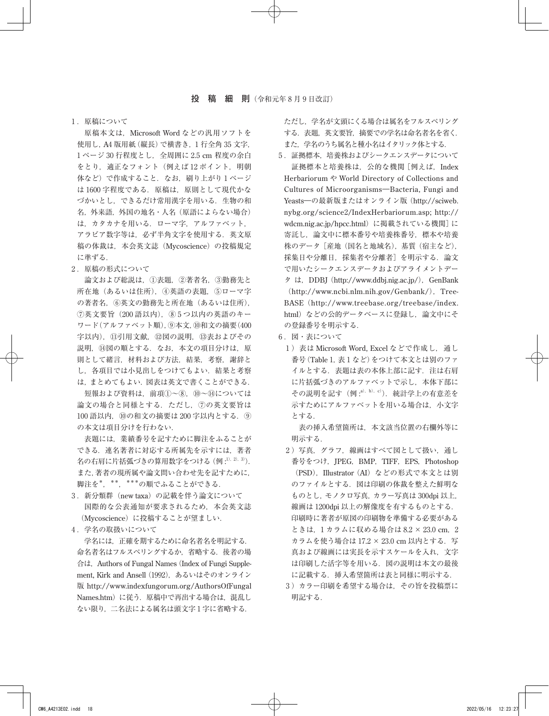## ₁ .原稿について

原稿本文は, Microsoft Word などの汎用ソフトを 使用し,A4 版用紙(縦長)で横書き,1 行全角 35 文字, 1ページ 30 行程度とし, 全周囲に 2.5 cm 程度の余白 をとり、適正なフォント(例えば12ポイント, 明朝 体など)で作成すること. なお, 刷り上がり1ページ は 1600 字程度である. 原稿は、原則として現代かな づかいとし,できるだけ常用漢字を用いる.生物の和 名, 外来語, 外国の地名・人名(原語によらない場合) は,カタカナを用いる.ローマ字,アルファベット, アラビア数字等は,必ず半角文字を使用する.英文原 稿の体裁は,本会英文誌(Mycoscience)の投稿規定 に準ずる.

## 2. 原稿の形式について

 論文および総説は,①表題,②著者名,③勤務先と 所在地(あるいは住所),④英語の表題,⑤ローマ字 の著者名,⑥英文の勤務先と所在地(あるいは住所), ⑦英文要旨(200 語以内),⑧ 5 つ以内の英語のキー ワード(アルファベット順),⑨本文,⑩和文の摘要(400 字以内),⑪引用文献,⑫図の説明,⑬表およびその 説明, 19図の順とする. なお、本文の項目分けは、原 則として緒言,材料および方法,結果,考察,謝辞と し、各項目では小見出しをつけてもよい. 結果と考察 は,まとめてもよい.図表は英文で書くことができる. 短報および資料は,前項①~⑧,⑩~⑭については 論文の場合と同様とする.ただし,⑦の英文要旨は 100 語以内,⑩の和文の摘要は 200 字以内とする.⑨ の本文は項目分けを行わない.

 表題には,業績番号を記すために脚注をふることが できる.連名著者に対応する所属先を示すには,著者 名の右肩に片括弧づきの算用数字をつける (例 :<sup>1), 2), 3)</sup>). また,著者の現所属や論文問い合わせ先を記すために, 脚注を\*,\*\*,\*\*\*の順でふることができる.

- 3. 新分類群 (new taxa)の記載を伴う論文について 国際的な公表通知が要求されるため,本会英文誌 (Mycoscience)に投稿することが望ましい.
- 4. 学名の取扱いについて

 学名には,正確を期するために命名者名を明記する. 命名者名はフルスペリングするか,省略する.後者の場 合は, Authors of Fungal Names (Index of Fungi Supplement, Kirk and Ansell (1992), あるいはそのオンライン 版 http://www.indexfungorum.org/AuthorsOfFungal Names.htm)に従う. 原稿中で再出する場合は、混乱し ない限り,二名法による属名は頭文字 1 字に省略する.

ただし,学名が文頭にくる場合は属名をフルスペリング する.表題,英文要旨,摘要での学名は命名者名を省く. また,学名のうち属名と種小名はイタリック体とする.

- 5. 証拠標本. 培養株およびシークエンスデータについて 証拠標本と培養株は,公的な機関[例えば,Index Herbariorum や World Directory of Collections and Cultures of Microorganisms―Bacteria, Fungi and Yeasts―の最新版またはオンライン版(http://sciweb. nybg.org/science2/IndexHerbariorum.asp; http:// wdcm.nig.ac.jp/hpcc.html) に掲載されている機関]に 寄託し,論文中に標本番号や培養株番号,標本や培養 株のデータ[産地(国名と地域名),基質(宿主など), 採集日や分離日,採集者や分離者]を明示する.論文 で用いたシークエンスデータおよびアライメントデー タ は, DDBJ (http://www.ddbj.nig.ac.jp/), GenBank  $(http://www.ncbi.nlm.nih.gov/Genbank/), Tree-$ BASE (http://www.treebase.org/treebase/index. html) などの公的データベースに登録し、論文中にそ の登録番号を明示する.
- 6. 図・表について
	- 1) 表は Microsoft Word, Excel などで作成し、通し 番号(Table 1, 表1など)をつけて本文とは別のファ イルとする. 表題は表の本体上部に記す. 注は右肩 に片括弧づきのアルファベットで示し,本体下部に その説明を記す (例 :<sup>a), b), c)</sup>). 統計学上の有意差を 示すためにアルファベットを用いる場合は、小文字 とする.

 表の挿入希望箇所は,本文該当位置の右欄外等に 明示する.

- 2)写真,グラフ,線画はすべて図として扱い,通し 番号をつけ, JPEG, BMP, TIFF, EPS, Photoshop (PSD), Illustrator (AI) などの形式で本文とは別 のファイルとする.図は印刷の体裁を整えた鮮明な ものとし,モノクロ写真,カラー写真は 300dpi 以上, 線画は 1200dpi 以上の解像度を有するものとする. 印刷時に著者が原図の印刷物を準備する必要がある ときは, 1カラムに収める場合は 8.2 × 23.0 cm, 2 カラムを使う場合は 17.2 × 23.0 cm 以内とする. 写 真および線画には実長を示すスケールを入れ,文字 は印刷した活字等を用いる.図の説明は本文の最後 に記載する. 挿入希望箇所は表と同様に明示する.
- ₃ )カラー印刷を希望する場合は,その旨を投稿票に 明記する.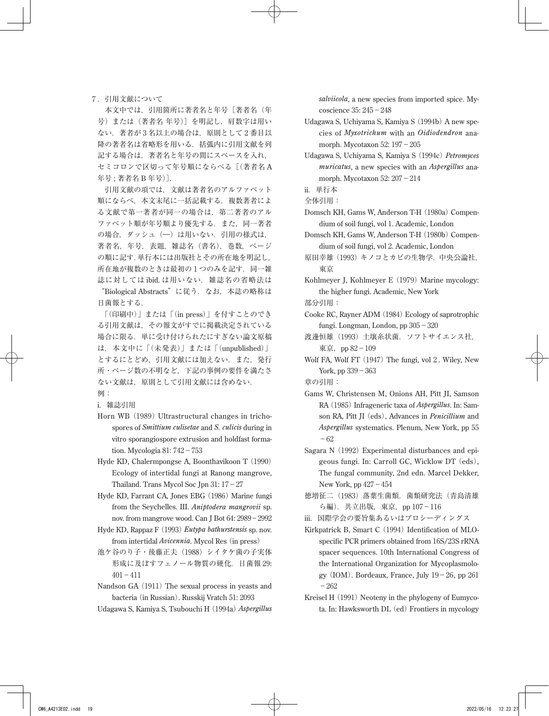## ₇ .引用文献について

 本文中では,引用箇所に著者名と年号[著者名(年 号)または(著者名 年号)]を明記し,肩数字は用い ない.著者が 3 名以上の場合は,原則として 2 番目以 降の著者名は省略形を用いる.括弧内に引用文献を列 記する場合は、著者名と年号の間にスペースを入れ, セミコロンで区切って年号順にならべる[(著者名 A 年号 ; 著者名 B 年号)].

 引用文献の項では,文献は著者名のアルファベット 順にならべ、本文末尾に一括記載する. 複数著者によ る文献で第一著者が同一の場合は、第二著者のアル ファベット順が年号順より優先する. また、同一著者 の場合、ダッシュ(一)は用いない. 引用の様式は, 著者名,年号,表題,雑誌名 (書名), 巻数, ページ の順に記す.単行本には出版社とその所在地を明記し, 所在地が複数のときは最初の1つのみを記す. 同一雑 誌に対しては ibid. は用いない. 雑誌名の省略法は "Biological Abstracts"に従う. なお、本誌の略称は

日菌報とする. 「(印刷中)」または「(in press)」を付すことのでき

る引用文献は,その報文がすでに掲載決定されている 場合に限る.単に受け付けられたにすぎない論文原稿 は,本文中に「(未発表)」または「(unpublished)」 とするにとどめ,引用文献には加えない.また,発行 所・ページ数の不明など,下記の事例の要件を満たさ ない文献は,原則として引用文献には含めない. 例:

i. 雑誌引用

- Horn WB (1989) Ultrastructural changes in trichospores of *Smittium culisetae* and *S. culicis* during in vitro sporangiospore extrusion and holdfast formation. Mycologia 81: 742-753
- Hyde KD, Chalermpongse A, Boonthavikoon T (1990) Ecology of intertidal fungi at Ranong mangrove, Thailand. Trans Mycol Soc Jpn  $31: 17-27$
- Hyde KD, Farrant CA, Jones EBG (1986) Marine fungi from the Seychelles. III. *Aniptodera mangrovii* sp. nov. from mangrove wood. Can J Bot 64: 2989-2992
- Hyde KD, Rappaz F (1993)*Eutypa bathurstensis* sp. nov. from intertidal *Avicennia*. Mycol Res (in press)
- 池ケ谷のり子・後藤正夫(1988)シイタケ菌の子実体 形成に及ぼすフェノール物質の硬化.日菌報 29:  $401 - 411$
- Nandson GA (1911) The sexual process in yeasts and bacteria (in Russian). Russkij Vratch 51: 2093
- Udagawa S, Kamiya S, Tsubouchi H (1994a)*Aspergillus*

*salviicola*, a new species from imported spice. Mycoscience 35: 245-248

- Udagawa S, Uchiyama S, Kamiya S (1994b) A new species of *Myxotrichum* with an *Oidiodendron* anamorph. Mycotaxon 52: 197-205
- Udagawa S, Uchiyama S, Kamiya S (1994c)*Petromyces muricatus*, a new species with an *Aspergillus* anamorph. Mycotaxon 52: 207-214
- ii.単行本

全体引用:

- Domsch KH, Gams W, Anderson T-H (1980a) Compendium of soil fungi, vol 1. Academic, London
- Domsch KH, Gams W, Anderson T-H (1980b) Compendium of soil fungi, vol 2. Academic, London
- 原田幸雄(1993)キノコとカビの生物学.中央公論社, 東京
- Kohlmeyer J, Kohlmeyer E (1979) Marine mycology: the higher fungi. Academic, New York

部分引用:

- Cooke RC, Rayner ADM (1984) Ecology of saprotrophic fungi. Longman, London, pp 305-320
- 渡邊恒雄(1993)土壌糸状菌.ソフトサイエンス社, 東京,pp 82-109
- Wolf FA, Wolf FT (1947) The fungi, vol 2 . Wiley, New York, pp  $339 - 363$

章の引用:

- Gams W, Christensen M, Onions AH, Pitt JI, Samson RA (1985) Infrageneric taxa of *Aspergillus*. In: Samson RA, Pitt JI (eds), Advances in *Penicillium* and *Aspergillus* systematics. Plenum, New York, pp 55  $-62$
- Sagara N (1992) Experimental disturbances and epigeous fungi. In: Carroll GC, Wicklow DT (eds), The fungal community, 2nd edn. Marcel Dekker, New York, pp 427-454
- 徳増征二(1983)落葉生菌類.菌類研究法(青島清雄 ら編). 共立出版, 東京, pp 107-116
- iii.国際学会の要旨集あるいはプロシーディングス
- Kirkpatrick B, Smart C (1994) Identification of MLOspecific PCR primers obtained from 16S/23S rRNA spacer sequences. 10th International Congress of the International Organization for Mycoplasmology  $(IOM)$ . Bordeaux, France, July 19-26, pp 261  $-262$
- Kreisel H (1991) Neoteny in the phylogeny of Eumycota. In: Hawksworth DL (ed) Frontiers in mycology